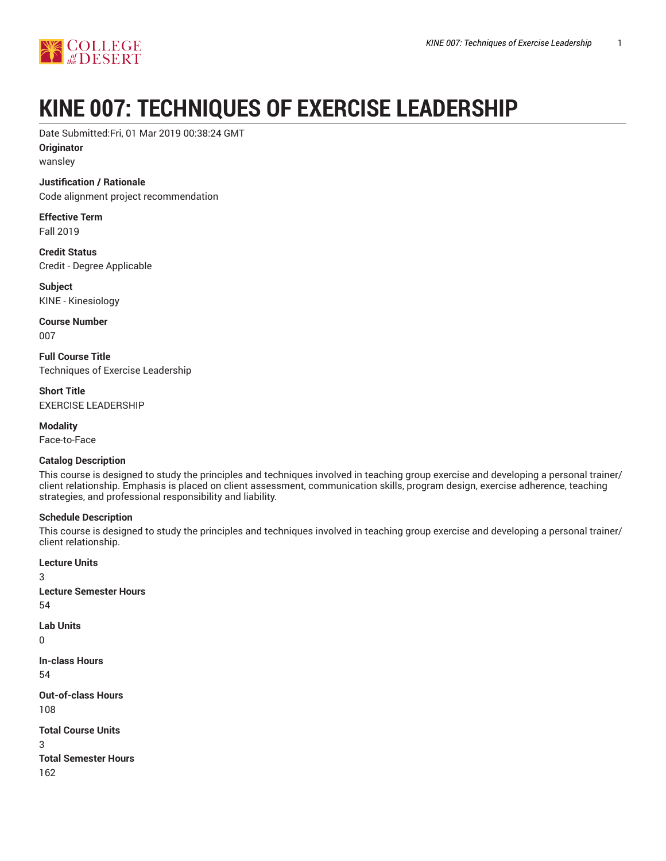

# **KINE 007: TECHNIQUES OF EXERCISE LEADERSHIP**

Date Submitted:Fri, 01 Mar 2019 00:38:24 GMT

**Originator**

wansley

### **Justification / Rationale**

Code alignment project recommendation

**Effective Term** Fall 2019

**Credit Status** Credit - Degree Applicable

**Subject** KINE - Kinesiology

**Course Number** 007

**Full Course Title** Techniques of Exercise Leadership

**Short Title** EXERCISE LEADERSHIP

**Modality** Face-to-Face

### **Catalog Description**

This course is designed to study the principles and techniques involved in teaching group exercise and developing a personal trainer/ client relationship. Emphasis is placed on client assessment, communication skills, program design, exercise adherence, teaching strategies, and professional responsibility and liability.

### **Schedule Description**

This course is designed to study the principles and techniques involved in teaching group exercise and developing a personal trainer/ client relationship.

**Lecture Units** 3 **Lecture Semester Hours** 54 **Lab Units** 0 **In-class Hours** 54 **Out-of-class Hours** 108 **Total Course Units** 3 **Total Semester Hours** 162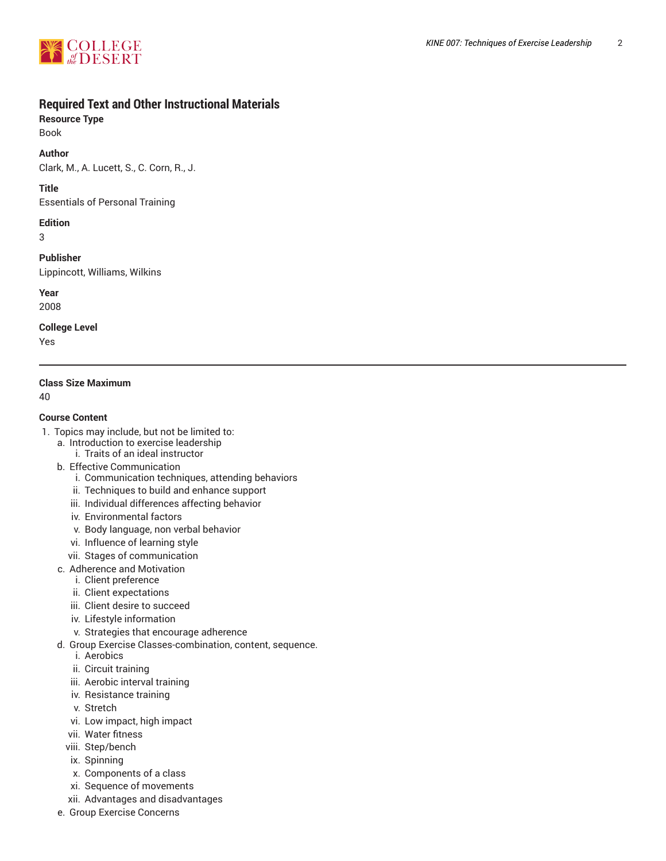

# **Required Text and Other Instructional Materials**

**Resource Type**

Book

**Author**

Clark, M., A. Lucett, S., C. Corn, R., J.

**Title**

Essentials of Personal Training

### **Edition**

3

**Publisher**

Lippincott, Williams, Wilkins

**Year**

2008

**College Level**

Yes

### **Class Size Maximum**

40

### **Course Content**

- 1. Topics may include, but not be limited to:
	- a. Introduction to exercise leadership
		- i. Traits of an ideal instructor
	- b. Effective Communication
		- i. Communication techniques, attending behaviors
		- ii. Techniques to build and enhance support
		- iii. Individual differences affecting behavior
		- iv. Environmental factors
		- v. Body language, non verbal behavior
		- vi. Influence of learning style
		- vii. Stages of communication
	- c. Adherence and Motivation
		- i. Client preference
		- ii. Client expectations
		- iii. Client desire to succeed
		- iv. Lifestyle information
		- v. Strategies that encourage adherence
	- d. Group Exercise Classes-combination, content, sequence.
		- i. Aerobics
		- ii. Circuit training
		- iii. Aerobic interval training
		- iv. Resistance training
		- v. Stretch
		- vi. Low impact, high impact
		- vii. Water fitness
		- viii. Step/bench
		- ix. Spinning
		- x. Components of a class
		- xi. Sequence of movements
		- xii. Advantages and disadvantages
	- e. Group Exercise Concerns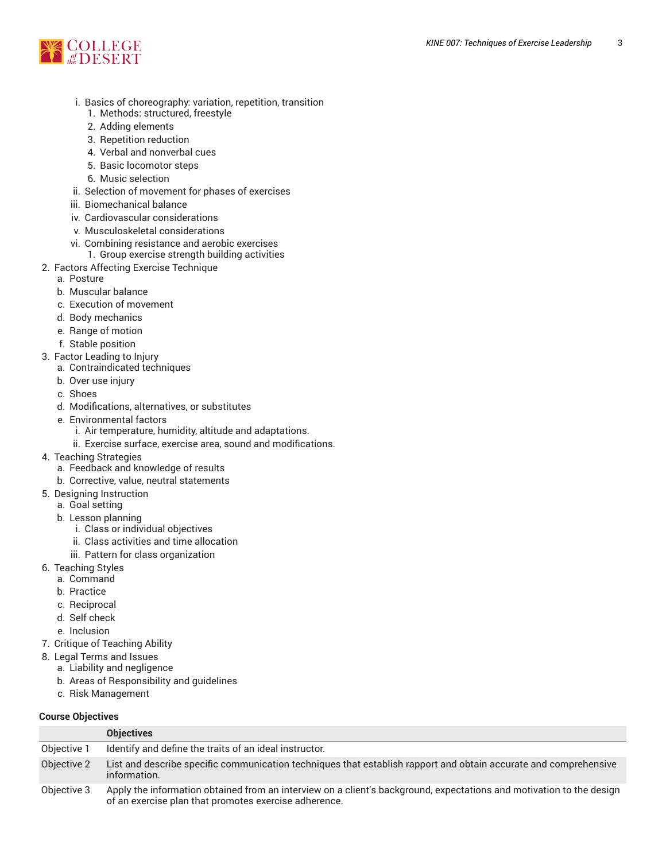

- i. Basics of choreography: variation, repetition, transition
	- 1. Methods: structured, freestyle
	- 2. Adding elements
	- 3. Repetition reduction
	- 4. Verbal and nonverbal cues
	- 5. Basic locomotor steps
	- 6. Music selection
- ii. Selection of movement for phases of exercises
- iii. Biomechanical balance
- iv. Cardiovascular considerations
- v. Musculoskeletal considerations
- vi. Combining resistance and aerobic exercises
	- 1. Group exercise strength building activities
- 2. Factors Affecting Exercise Technique
- a. Posture
	- b. Muscular balance
	- c. Execution of movement
	- d. Body mechanics
	- e. Range of motion
	- f. Stable position
- 3. Factor Leading to Injury
	- a. Contraindicated techniques
	- b. Over use injury
	- c. Shoes
	- d. Modifications, alternatives, or substitutes
	- e. Environmental factors
		- i. Air temperature, humidity, altitude and adaptations.
		- ii. Exercise surface, exercise area, sound and modifications.
- 4. Teaching Strategies
	- a. Feedback and knowledge of results
	- b. Corrective, value, neutral statements
- 5. Designing Instruction
	- a. Goal setting
	- b. Lesson planning
		- i. Class or individual objectives
		- ii. Class activities and time allocation
		- iii. Pattern for class organization
- 6. Teaching Styles
	- a. Command
	- b. Practice
	- c. Reciprocal
	- d. Self check
	- e. Inclusion
- 7. Critique of Teaching Ability
- 8. Legal Terms and Issues
	- a. Liability and negligence
	- b. Areas of Responsibility and guidelines
	- c. Risk Management

### **Course Objectives**

|             | <b>Objectives</b>                                                                                                                                                             |
|-------------|-------------------------------------------------------------------------------------------------------------------------------------------------------------------------------|
| Objective 1 | Identify and define the traits of an ideal instructor.                                                                                                                        |
| Objective 2 | List and describe specific communication techniques that establish rapport and obtain accurate and comprehensive<br>information.                                              |
| Objective 3 | Apply the information obtained from an interview on a client's background, expectations and motivation to the design<br>of an exercise plan that promotes exercise adherence. |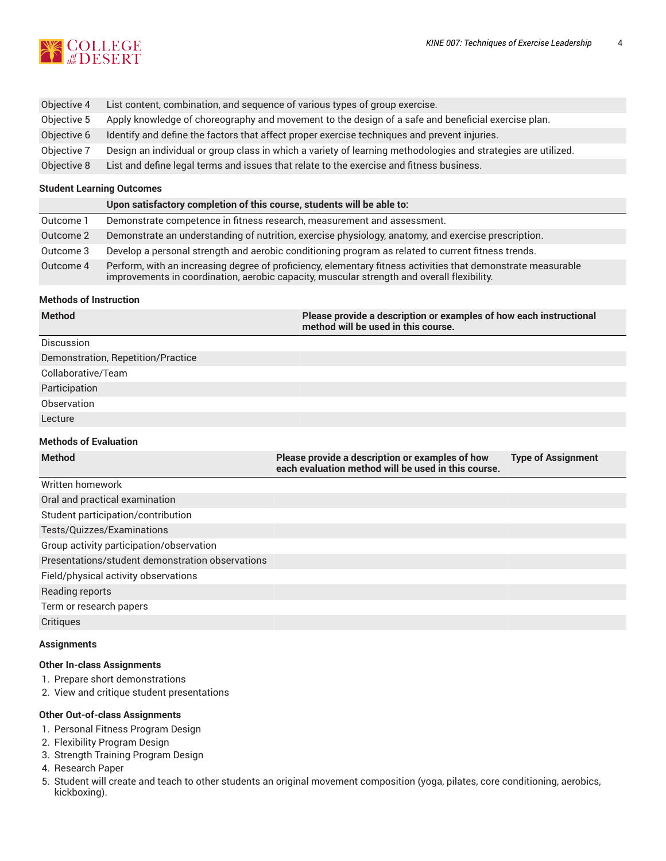

| Objective 4 | List content, combination, and sequence of various types of group exercise.                                   |
|-------------|---------------------------------------------------------------------------------------------------------------|
| Objective 5 | Apply knowledge of choreography and movement to the design of a safe and beneficial exercise plan.            |
| Objective 6 | Identify and define the factors that affect proper exercise techniques and prevent injuries.                  |
| Objective 7 | Design an individual or group class in which a variety of learning methodologies and strategies are utilized. |
| Objective 8 | List and define legal terms and issues that relate to the exercise and fitness business.                      |

### **Student Learning Outcomes**

|           | Upon satisfactory completion of this course, students will be able to:                                                                                                                                     |
|-----------|------------------------------------------------------------------------------------------------------------------------------------------------------------------------------------------------------------|
| Outcome 1 | Demonstrate competence in fitness research, measurement and assessment.                                                                                                                                    |
| Outcome 2 | Demonstrate an understanding of nutrition, exercise physiology, anatomy, and exercise prescription.                                                                                                        |
| Outcome 3 | Develop a personal strength and aerobic conditioning program as related to current fitness trends.                                                                                                         |
| Outcome 4 | Perform, with an increasing degree of proficiency, elementary fitness activities that demonstrate measurable<br>improvements in coordination, aerobic capacity, muscular strength and overall flexibility. |

### **Methods of Instruction**

| <b>Method</b>                                    | Please provide a description or examples of how each instructional<br>method will be used in this course. |                           |  |  |  |
|--------------------------------------------------|-----------------------------------------------------------------------------------------------------------|---------------------------|--|--|--|
| Discussion                                       |                                                                                                           |                           |  |  |  |
| Demonstration, Repetition/Practice               |                                                                                                           |                           |  |  |  |
| Collaborative/Team                               |                                                                                                           |                           |  |  |  |
| Participation                                    |                                                                                                           |                           |  |  |  |
| Observation                                      |                                                                                                           |                           |  |  |  |
| Lecture                                          |                                                                                                           |                           |  |  |  |
| <b>Methods of Evaluation</b>                     |                                                                                                           |                           |  |  |  |
| <b>Method</b>                                    | Please provide a description or examples of how<br>each evaluation method will be used in this course.    | <b>Type of Assignment</b> |  |  |  |
| Written homework                                 |                                                                                                           |                           |  |  |  |
| Oral and practical examination                   |                                                                                                           |                           |  |  |  |
| Student participation/contribution               |                                                                                                           |                           |  |  |  |
| Tests/Quizzes/Examinations                       |                                                                                                           |                           |  |  |  |
| Group activity participation/observation         |                                                                                                           |                           |  |  |  |
| Presentations/student demonstration observations |                                                                                                           |                           |  |  |  |
| Field/physical activity observations             |                                                                                                           |                           |  |  |  |
| Reading reports                                  |                                                                                                           |                           |  |  |  |
| Term or research papers                          |                                                                                                           |                           |  |  |  |
| Critiques                                        |                                                                                                           |                           |  |  |  |

### **Assignments**

### **Other In-class Assignments**

- 1. Prepare short demonstrations
- 2. View and critique student presentations

#### **Other Out-of-class Assignments**

- 1. Personal Fitness Program Design
- 2. Flexibility Program Design
- 3. Strength Training Program Design
- 4. Research Paper
- 5. Student will create and teach to other students an original movement composition (yoga, pilates, core conditioning, aerobics, kickboxing).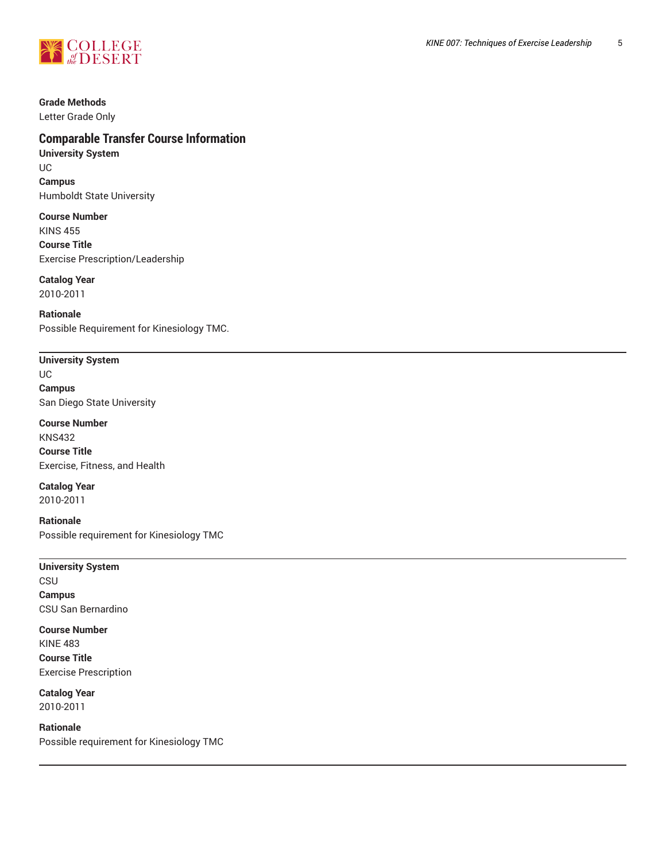

# **Grade Methods**

Letter Grade Only

# **Comparable Transfer Course Information**

**University System** UC **Campus** Humboldt State University

**Course Number** KINS 455 **Course Title** Exercise Prescription/Leadership

# **Catalog Year**

2010-2011

**Rationale** Possible Requirement for Kinesiology TMC.

# **University System** UC

**Campus** San Diego State University

**Course Number** KNS432 **Course Title** Exercise, Fitness, and Health

### **Catalog Year** 2010-2011

**Rationale** Possible requirement for Kinesiology TMC

### **University System**

**CSU Campus** CSU San Bernardino

#### **Course Number** KINE 483

**Course Title** Exercise Prescription

**Catalog Year** 2010-2011

### **Rationale**

Possible requirement for Kinesiology TMC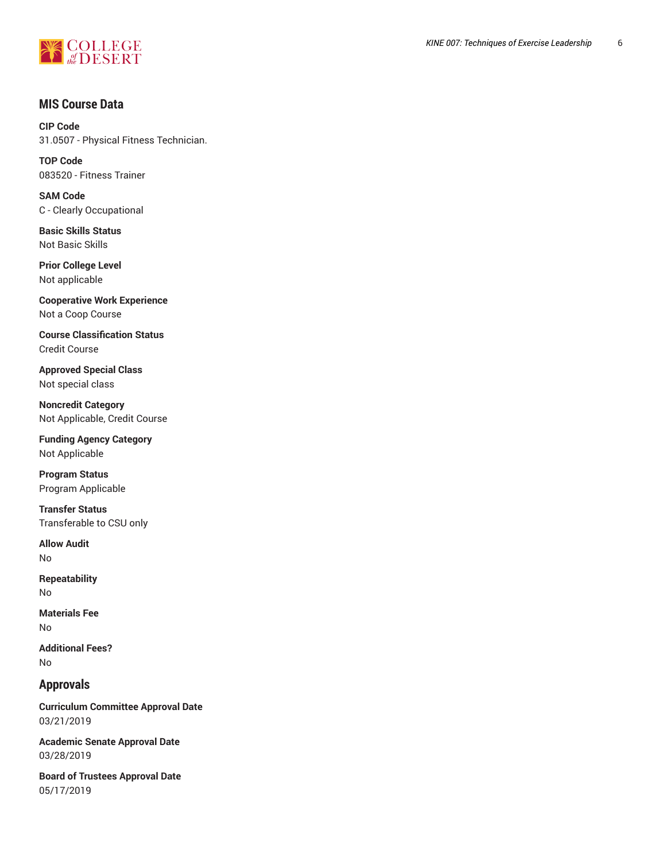

# **MIS Course Data**

**CIP Code** 31.0507 - Physical Fitness Technician.

**TOP Code** 083520 - Fitness Trainer

**SAM Code** C - Clearly Occupational

**Basic Skills Status** Not Basic Skills

**Prior College Level** Not applicable

**Cooperative Work Experience** Not a Coop Course

**Course Classification Status** Credit Course

**Approved Special Class** Not special class

**Noncredit Category** Not Applicable, Credit Course

**Funding Agency Category** Not Applicable

**Program Status** Program Applicable

**Transfer Status** Transferable to CSU only

**Allow Audit** No

**Repeatability** No

**Materials Fee** No

**Additional Fees?** No

# **Approvals**

**Curriculum Committee Approval Date** 03/21/2019

**Academic Senate Approval Date** 03/28/2019

**Board of Trustees Approval Date** 05/17/2019